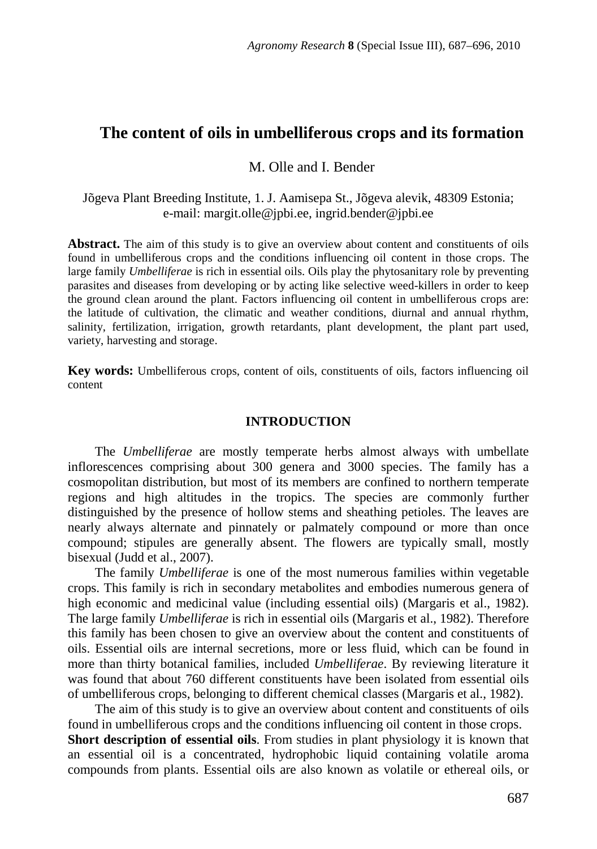# **The content of oils in umbelliferous crops and its formation**

### M. Olle and I. Bender

Jõgeva Plant Breeding Institute, 1. J. Aamisepa St., Jõgeva alevik, 48309 Estonia; e-mail: margit.olle@jpbi.ee, ingrid.bender@jpbi.ee

**Abstract.** The aim of this study is to give an overview about content and constituents of oils found in umbelliferous crops and the conditions influencing oil content in those crops. The large family *Umbelliferae* is rich in essential oils. Oils play the phytosanitary role by preventing parasites and diseases from developing or by acting like selective weed-killers in order to keep the ground clean around the plant. Factors influencing oil content in umbelliferous crops are: the latitude of cultivation, the climatic and weather conditions, diurnal and annual rhythm, salinity, fertilization, irrigation, growth retardants, plant development, the plant part used, variety, harvesting and storage.

**Key words:** Umbelliferous crops, content of oils, constituents of oils, factors influencing oil content

#### **INTRODUCTION**

The *Umbelliferae* are mostly temperate herbs almost always with umbellate inflorescences comprising about 300 genera and 3000 species. The family has a cosmopolitan distribution, but most of its members are confined to northern temperate regions and high altitudes in the tropics. The species are commonly further distinguished by the presence of hollow stems and sheathing petioles. The leaves are nearly always alternate and pinnately or palmately compound or more than once compound; stipules are generally absent. The flowers are typically small, mostly bisexual (Judd et al., 2007).

The family *Umbelliferae* is one of the most numerous families within vegetable crops. This family is rich in secondary metabolites and embodies numerous genera of high economic and medicinal value (including essential oils) (Margaris et al., 1982). The large family *Umbelliferae* is rich in essential oils (Margaris et al., 1982). Therefore this family has been chosen to give an overview about the content and constituents of oils. Essential oils are internal secretions, more or less fluid, which can be found in more than thirty botanical families, included *Umbelliferae*. By reviewing literature it was found that about 760 different constituents have been isolated from essential oils of umbelliferous crops, belonging to different chemical classes (Margaris et al., 1982).

The aim of this study is to give an overview about content and constituents of oils found in umbelliferous crops and the conditions influencing oil content in those crops. **Short description of essential oils**. From studies in plant physiology it is known that an essential oil is a concentrated, hydrophobic liquid containing volatile aroma compounds from plants. Essential oils are also known as volatile or ethereal oils, or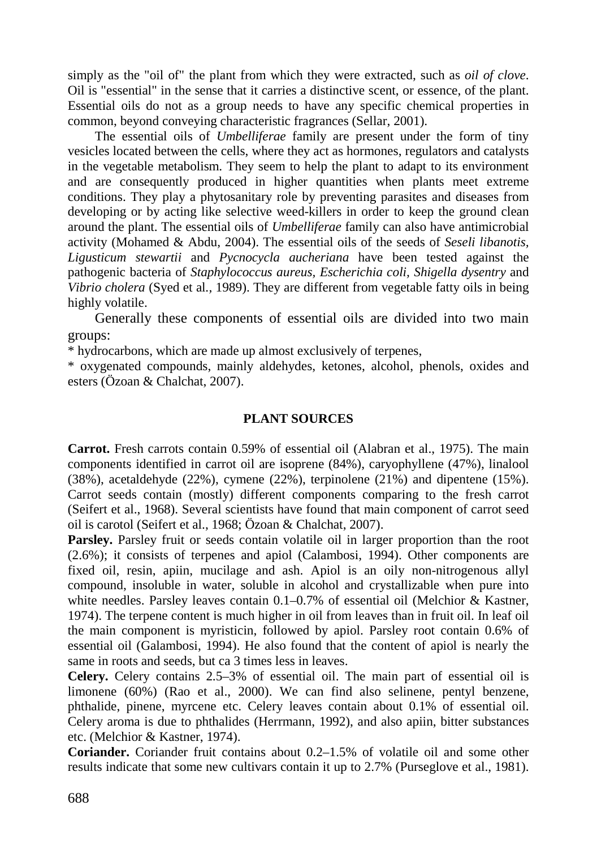simply as the "oil of" the plant from which they were extracted, such as *oil of clove*. Oil is "essential" in the sense that it carries a distinctive scent, or essence, of the plant. Essential oils do not as a group needs to have any specific chemical properties in common, beyond conveying characteristic fragrances (Sellar, 2001).

The essential oils of *Umbelliferae* family are present under the form of tiny vesicles located between the cells, where they act as hormones, regulators and catalysts in the vegetable metabolism. They seem to help the plant to adapt to its environment and are consequently produced in higher quantities when plants meet extreme conditions. They play a phytosanitary role by preventing parasites and diseases from developing or by acting like selective weed-killers in order to keep the ground clean around the plant. The essential oils of *Umbelliferae* family can also have antimicrobial activity (Mohamed & Abdu, 2004). The essential oils of the seeds of *Seseli libanotis, Ligusticum stewartii* and *Pycnocycla aucheriana* have been tested against the pathogenic bacteria of *Staphylococcus aureus, Escherichia coli, Shigella dysentry* and *Vibrio cholera* (Syed et al*.,* 1989). They are different from vegetable fatty oils in being highly volatile.

Generally these components of essential oils are divided into two main groups:

\* hydrocarbons, which are made up almost exclusively of terpenes,

\* oxygenated compounds, mainly aldehydes, ketones, alcohol, phenols, oxides and esters (Özoan & Chalchat, 2007).

## **PLANT SOURCES**

**Carrot.** Fresh carrots contain 0.59% of essential oil (Alabran et al., 1975). The main components identified in carrot oil are isoprene (84%), caryophyllene (47%), linalool (38%), acetaldehyde (22%), cymene (22%), terpinolene (21%) and dipentene (15%). Carrot seeds contain (mostly) different components comparing to the fresh carrot (Seifert et al., 1968). Several scientists have found that main component of carrot seed oil is carotol (Seifert et al., 1968; Özoan & Chalchat, 2007).

**Parsley.** Parsley fruit or seeds contain volatile oil in larger proportion than the root (2.6%); it consists of terpenes and apiol (Calambosi, 1994). Other components are fixed oil, resin, apiin, mucilage and ash. Apiol is an oily non-nitrogenous allyl compound, insoluble in water, soluble in alcohol and crystallizable when pure into white needles. Parsley leaves contain 0.1–0.7% of essential oil (Melchior & Kastner, 1974). The terpene content is much higher in oil from leaves than in fruit oil. In leaf oil the main component is myristicin, followed by apiol. Parsley root contain 0.6% of essential oil (Galambosi, 1994). He also found that the content of apiol is nearly the same in roots and seeds, but ca 3 times less in leaves.

**Celery.** Celery contains 2.5–3% of essential oil. The main part of essential oil is limonene (60%) (Rao et al., 2000). We can find also selinene, pentyl benzene, phthalide, pinene, myrcene etc. Celery leaves contain about 0.1% of essential oil. Celery aroma is due to phthalides (Herrmann, 1992), and also apiin, bitter substances etc. (Melchior & Kastner, 1974).

**Coriander.** Coriander fruit contains about 0.2–1.5% of volatile oil and some other results indicate that some new cultivars contain it up to 2.7% (Purseglove et al., 1981).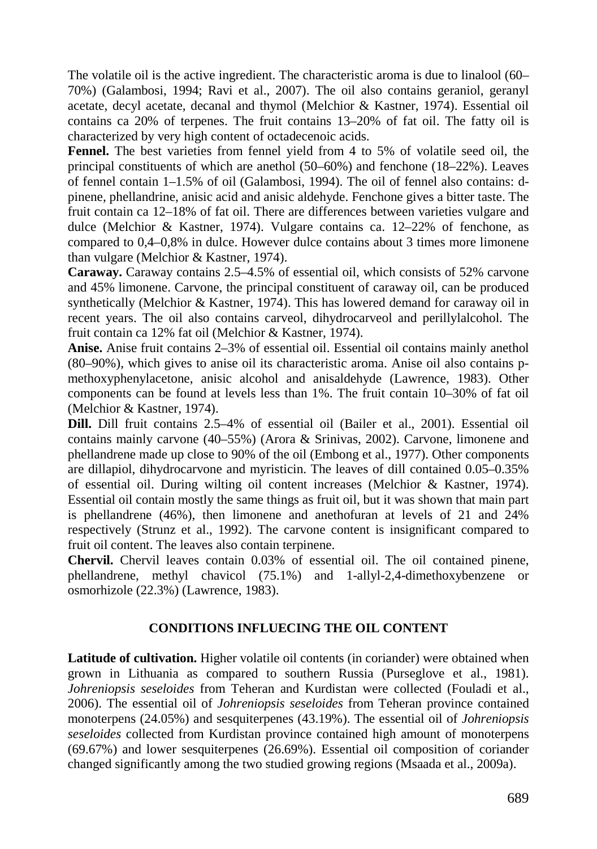The volatile oil is the active ingredient. The characteristic aroma is due to linalool (60– 70%) (Galambosi, 1994; Ravi et al., 2007). The oil also contains geraniol, geranyl acetate, decyl acetate, decanal and thymol (Melchior & Kastner, 1974). Essential oil contains ca 20% of terpenes. The fruit contains 13–20% of fat oil. The fatty oil is characterized by very high content of octadecenoic acids.

Fennel. The best varieties from fennel yield from 4 to 5% of volatile seed oil, the principal constituents of which are anethol (50–60%) and fenchone (18–22%). Leaves of fennel contain 1–1.5% of oil (Galambosi, 1994). The oil of fennel also contains: dpinene, phellandrine, anisic acid and anisic aldehyde. Fenchone gives a bitter taste. The fruit contain ca 12–18% of fat oil. There are differences between varieties vulgare and dulce (Melchior & Kastner, 1974). Vulgare contains ca. 12–22% of fenchone, as compared to 0,4–0,8% in dulce. However dulce contains about 3 times more limonene than vulgare (Melchior & Kastner, 1974).

**Caraway.** Caraway contains 2.5–4.5% of essential oil, which consists of 52% carvone and 45% limonene. Carvone, the principal constituent of caraway oil, can be produced synthetically (Melchior & Kastner, 1974). This has lowered demand for caraway oil in recent years. The oil also contains carveol, dihydrocarveol and perillylalcohol. The fruit contain ca 12% fat oil (Melchior & Kastner, 1974).

**Anise.** Anise fruit contains 2–3% of essential oil. Essential oil contains mainly anethol (80–90%), which gives to anise oil its characteristic aroma. Anise oil also contains pmethoxyphenylacetone, anisic alcohol and anisaldehyde (Lawrence, 1983). Other components can be found at levels less than 1%. The fruit contain 10–30% of fat oil (Melchior & Kastner, 1974).

**Dill.** Dill fruit contains 2.5–4% of essential oil (Bailer et al., 2001). Essential oil contains mainly carvone (40–55%) (Arora & Srinivas, 2002). Carvone, limonene and phellandrene made up close to 90% of the oil (Embong et al., 1977). Other components are dillapiol, dihydrocarvone and myristicin. The leaves of dill contained 0.05–0.35% of essential oil. During wilting oil content increases (Melchior & Kastner, 1974). Essential oil contain mostly the same things as fruit oil, but it was shown that main part is phellandrene (46%), then limonene and anethofuran at levels of 21 and 24% respectively (Strunz et al., 1992). The carvone content is insignificant compared to fruit oil content. The leaves also contain terpinene.

**Chervil.** Chervil leaves contain 0.03% of essential oil. The oil contained pinene, phellandrene, methyl chavicol (75.1%) and 1-allyl-2,4-dimethoxybenzene or osmorhizole (22.3%) (Lawrence, 1983).

# **CONDITIONS INFLUECING THE OIL CONTENT**

**Latitude of cultivation.** Higher volatile oil contents (in coriander) were obtained when grown in Lithuania as compared to southern Russia (Purseglove et al., 1981). *Johreniopsis seseloides* from Teheran and Kurdistan were collected (Fouladi et al., 2006). The essential oil of *Johreniopsis seseloides* from Teheran province contained monoterpens (24.05%) and sesquiterpenes (43.19%). The essential oil of *Johreniopsis seseloides* collected from Kurdistan province contained high amount of monoterpens (69.67%) and lower sesquiterpenes (26.69%). Essential oil composition of coriander changed significantly among the two studied growing regions (Msaada et al., 2009a).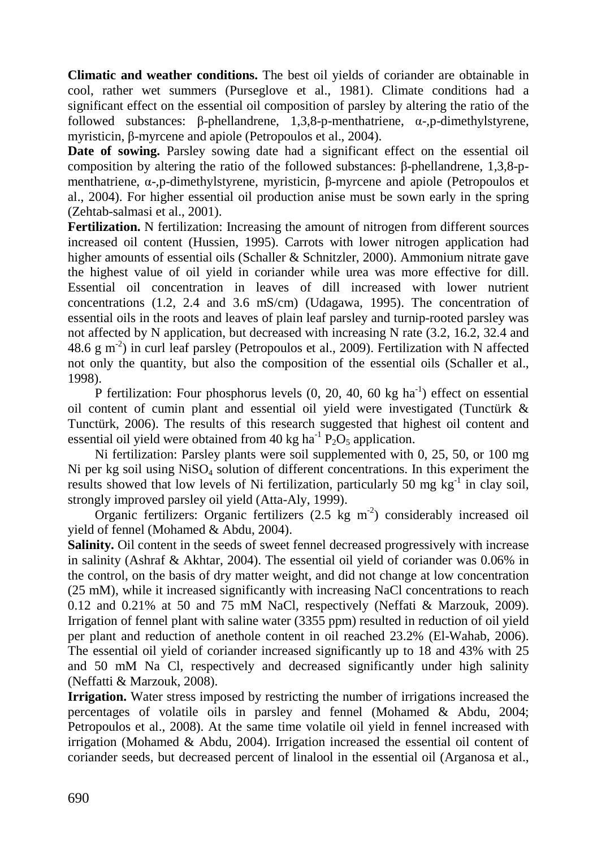**Climatic and weather conditions.** The best oil yields of coriander are obtainable in cool, rather wet summers (Purseglove et al., 1981). Climate conditions had a significant effect on the essential oil composition of parsley by altering the ratio of the followed substances: β-phellandrene, 1,3,8-p-menthatriene, α-,p-dimethylstyrene, myristicin, β-myrcene and apiole (Petropoulos et al., 2004).

**Date of sowing.** Parsley sowing date had a significant effect on the essential oil composition by altering the ratio of the followed substances: β-phellandrene, 1,3,8-pmenthatriene, α-,p-dimethylstyrene, myristicin, β-myrcene and apiole (Petropoulos et al., 2004). For higher essential oil production anise must be sown early in the spring (Zehtab-salmasi et al., 2001).

**Fertilization.** N fertilization: Increasing the amount of nitrogen from different sources increased oil content (Hussien, 1995). Carrots with lower nitrogen application had higher amounts of essential oils (Schaller & Schnitzler, 2000). Ammonium nitrate gave the highest value of oil yield in coriander while urea was more effective for dill. Essential oil concentration in leaves of dill increased with lower nutrient concentrations (1.2, 2.4 and 3.6 mS/cm) (Udagawa, 1995). The concentration of essential oils in the roots and leaves of plain leaf parsley and turnip-rooted parsley was not affected by N application, but decreased with increasing N rate (3.2, 16.2, 32.4 and 48.6 g m<sup>-2</sup>) in curl leaf parsley (Petropoulos et al., 2009). Fertilization with N affected not only the quantity, but also the composition of the essential oils (Schaller et al., 1998).

P fertilization: Four phosphorus levels  $(0, 20, 40, 60 \text{ kg ha}^{-1})$  effect on essential oil content of cumin plant and essential oil yield were investigated (Tunctürk & Tunctürk, 2006). The results of this research suggested that highest oil content and essential oil yield were obtained from 40 kg ha<sup>-1</sup>  $\overline{P_2O_5}$  application.

Ni fertilization: Parsley plants were soil supplemented with 0, 25, 50, or 100 mg Ni per kg soil using  $NiSO_4$  solution of different concentrations. In this experiment the results showed that low levels of Ni fertilization, particularly 50 mg  $kg^{-1}$  in clay soil, strongly improved parsley oil yield (Atta-Aly, 1999).

Organic fertilizers: Organic fertilizers  $(2.5 \text{ kg m}^2)$  considerably increased oil yield of fennel (Mohamed & Abdu, 2004).

**Salinity.** Oil content in the seeds of sweet fennel decreased progressively with increase in salinity (Ashraf & Akhtar, 2004). The essential oil yield of coriander was 0.06% in the control, on the basis of dry matter weight, and did not change at low concentration (25 mM), while it increased significantly with increasing NaCl concentrations to reach 0.12 and 0.21% at 50 and 75 mM NaCl, respectively (Neffati & Marzouk, 2009). Irrigation of fennel plant with saline water (3355 ppm) resulted in reduction of oil yield per plant and reduction of anethole content in oil reached 23.2% (El-Wahab, 2006). The essential oil yield of coriander increased significantly up to 18 and 43% with 25 and 50 mM Na Cl, respectively and decreased significantly under high salinity (Neffatti & Marzouk, 2008).

**Irrigation.** Water stress imposed by restricting the number of irrigations increased the percentages of volatile oils in parsley and fennel (Mohamed & Abdu, 2004; Petropoulos et al., 2008). At the same time volatile oil yield in fennel increased with irrigation (Mohamed & Abdu, 2004). Irrigation increased the essential oil content of coriander seeds, but decreased percent of linalool in the essential oil (Arganosa et al.,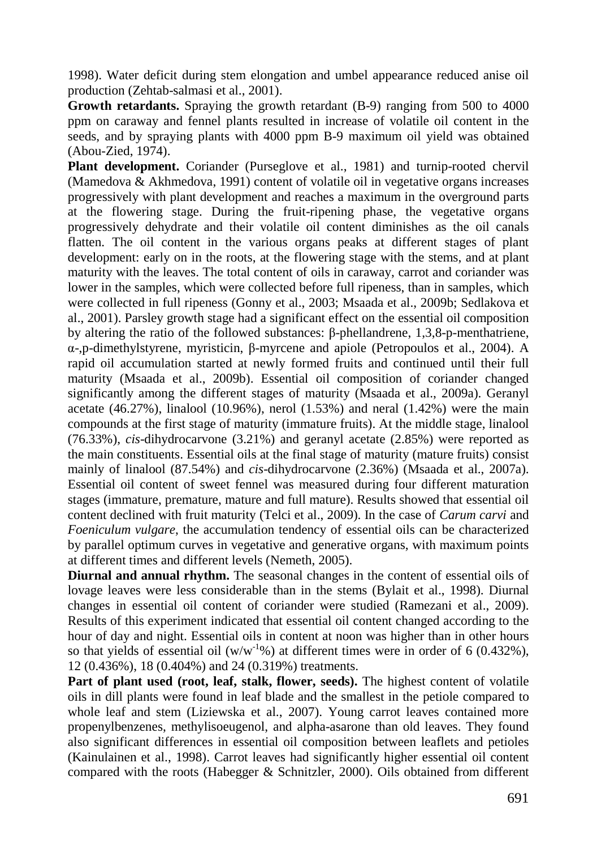1998). Water deficit during stem elongation and umbel appearance reduced anise oil production (Zehtab-salmasi et al., 2001).

**Growth retardants.** Spraying the growth retardant (B-9) ranging from 500 to 4000 ppm on caraway and fennel plants resulted in increase of volatile oil content in the seeds, and by spraying plants with 4000 ppm B-9 maximum oil yield was obtained (Abou-Zied, 1974).

**Plant development.** Coriander (Purseglove et al., 1981) and turnip-rooted chervil (Mamedova & Akhmedova, 1991) content of volatile oil in vegetative organs increases progressively with plant development and reaches a maximum in the overground parts at the flowering stage. During the fruit-ripening phase, the vegetative organs progressively dehydrate and their volatile oil content diminishes as the oil canals flatten. The oil content in the various organs peaks at different stages of plant development: early on in the roots, at the flowering stage with the stems, and at plant maturity with the leaves. The total content of oils in caraway, carrot and coriander was lower in the samples, which were collected before full ripeness, than in samples, which were collected in full ripeness (Gonny et al., 2003; Msaada et al., 2009b; Sedlakova et al., 2001). Parsley growth stage had a significant effect on the essential oil composition by altering the ratio of the followed substances: β-phellandrene, 1,3,8-p-menthatriene, α-,p-dimethylstyrene, myristicin, β-myrcene and apiole (Petropoulos et al., 2004). A rapid oil accumulation started at newly formed fruits and continued until their full maturity (Msaada et al., 2009b). Essential oil composition of coriander changed significantly among the different stages of maturity (Msaada et al., 2009a). Geranyl acetate  $(46.27\%)$ , linalool  $(10.96\%)$ , nerol  $(1.53\%)$  and neral  $(1.42\%)$  were the main compounds at the first stage of maturity (immature fruits). At the middle stage, linalool (76.33%), *cis*-dihydrocarvone (3.21%) and geranyl acetate (2.85%) were reported as the main constituents. Essential oils at the final stage of maturity (mature fruits) consist mainly of linalool (87.54%) and *cis*-dihydrocarvone (2.36%) (Msaada et al., 2007a). Essential oil content of sweet fennel was measured during four different maturation stages (immature, premature, mature and full mature). Results showed that essential oil content declined with fruit maturity (Telci et al., 2009). In the case of *Carum carvi* and *Foeniculum vulgare*, the accumulation tendency of essential oils can be characterized by parallel optimum curves in vegetative and generative organs, with maximum points at different times and different levels (Nemeth, 2005).

**Diurnal and annual rhythm.** The seasonal changes in the content of essential oils of lovage leaves were less considerable than in the stems (Bylait et al., 1998). Diurnal changes in essential oil content of coriander were studied (Ramezani et al., 2009). Results of this experiment indicated that essential oil content changed according to the hour of day and night. Essential oils in content at noon was higher than in other hours so that yields of essential oil  $(w/w^{-1}\%)$  at different times were in order of 6 (0.432%), 12 (0.436%), 18 (0.404%) and 24 (0.319%) treatments.

Part of plant used (root, leaf, stalk, flower, seeds). The highest content of volatile oils in dill plants were found in leaf blade and the smallest in the petiole compared to whole leaf and stem (Liziewska et al., 2007). Young carrot leaves contained more propenylbenzenes, methylisoeugenol, and alpha-asarone than old leaves. They found also significant differences in essential oil composition between leaflets and petioles (Kainulainen et al., 1998). Carrot leaves had significantly higher essential oil content compared with the roots (Habegger & Schnitzler, 2000). Oils obtained from different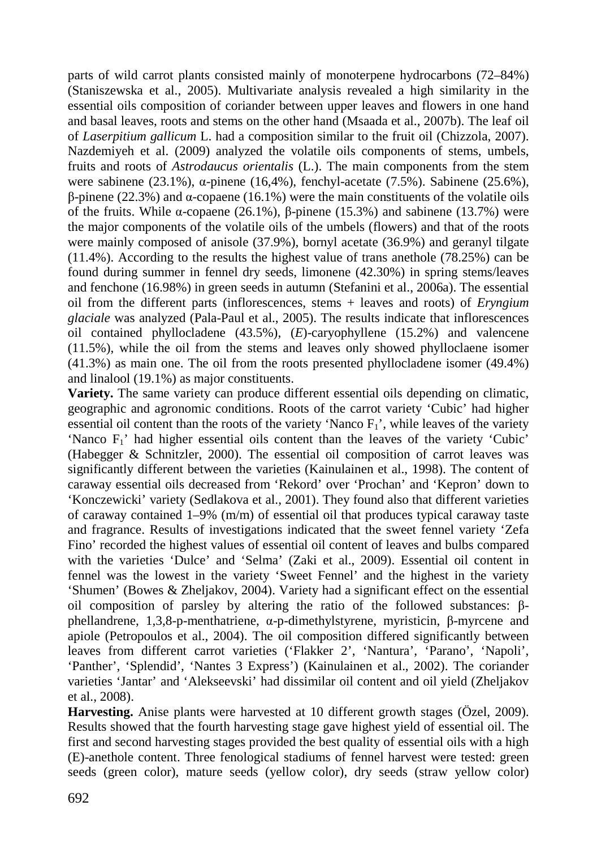parts of wild carrot plants consisted mainly of monoterpene hydrocarbons (72–84%) (Staniszewska et al., 2005). Multivariate analysis revealed a high similarity in the essential oils composition of coriander between upper leaves and flowers in one hand and basal leaves, roots and stems on the other hand (Msaada et al., 2007b). The leaf oil of *Laserpitium gallicum* L. had a composition similar to the fruit oil (Chizzola, 2007). Nazdemiyeh et al. (2009) analyzed the volatile oils components of stems, umbels, fruits and roots of *Astrodaucus orientalis* (L.). The main components from the stem were sabinene (23.1%), α-pinene (16,4%), fenchyl-acetate (7.5%). Sabinene (25.6%), β-pinene (22.3%) and α-copaene (16.1%) were the main constituents of the volatile oils of the fruits. While α-copaene (26.1%), β-pinene (15.3%) and sabinene (13.7%) were the major components of the volatile oils of the umbels (flowers) and that of the roots were mainly composed of anisole (37.9%), bornyl acetate (36.9%) and geranyl tilgate (11.4%). According to the results the highest value of trans anethole (78.25%) can be found during summer in fennel dry seeds, limonene (42.30%) in spring stems/leaves and fenchone (16.98%) in green seeds in autumn (Stefanini et al., 2006a). The essential oil from the different parts (inflorescences, stems + leaves and roots) of *Eryngium glaciale* was analyzed (Pala-Paul et al., 2005). The results indicate that inflorescences oil contained phyllocladene (43.5%), (*E*)-caryophyllene (15.2%) and valencene (11.5%), while the oil from the stems and leaves only showed phylloclaene isomer (41.3%) as main one. The oil from the roots presented phyllocladene isomer (49.4%) and linalool (19.1%) as major constituents.

**Variety.** The same variety can produce different essential oils depending on climatic, geographic and agronomic conditions. Roots of the carrot variety 'Cubic' had higher essential oil content than the roots of the variety 'Nanco  $F_1$ ', while leaves of the variety 'Nanco F<sub>1</sub>' had higher essential oils content than the leaves of the variety 'Cubic' (Habegger & Schnitzler, 2000). The essential oil composition of carrot leaves was significantly different between the varieties (Kainulainen et al., 1998). The content of caraway essential oils decreased from 'Rekord' over 'Prochan' and 'Kepron' down to 'Konczewicki' variety (Sedlakova et al., 2001). They found also that different varieties of caraway contained 1–9% (m/m) of essential oil that produces typical caraway taste and fragrance. Results of investigations indicated that the sweet fennel variety 'Zefa Fino' recorded the highest values of essential oil content of leaves and bulbs compared with the varieties 'Dulce' and 'Selma' (Zaki et al., 2009). Essential oil content in fennel was the lowest in the variety 'Sweet Fennel' and the highest in the variety 'Shumen' (Bowes & Zheljakov, 2004). Variety had a significant effect on the essential oil composition of parsley by altering the ratio of the followed substances: βphellandrene, 1,3,8-p-menthatriene, α-p-dimethylstyrene, myristicin, β-myrcene and apiole (Petropoulos et al., 2004). The oil composition differed significantly between leaves from different carrot varieties ('Flakker 2', 'Nantura', 'Parano', 'Napoli', 'Panther', 'Splendid', 'Nantes 3 Express') (Kainulainen et al., 2002). The coriander varieties 'Jantar' and 'Alekseevski' had dissimilar oil content and oil yield (Zheljakov et al., 2008).

**Harvesting.** Anise plants were harvested at 10 different growth stages (Özel, 2009). Results showed that the fourth harvesting stage gave highest yield of essential oil. The first and second harvesting stages provided the best quality of essential oils with a high (E)-anethole content. Three fenological stadiums of fennel harvest were tested: green seeds (green color), mature seeds (yellow color), dry seeds (straw yellow color)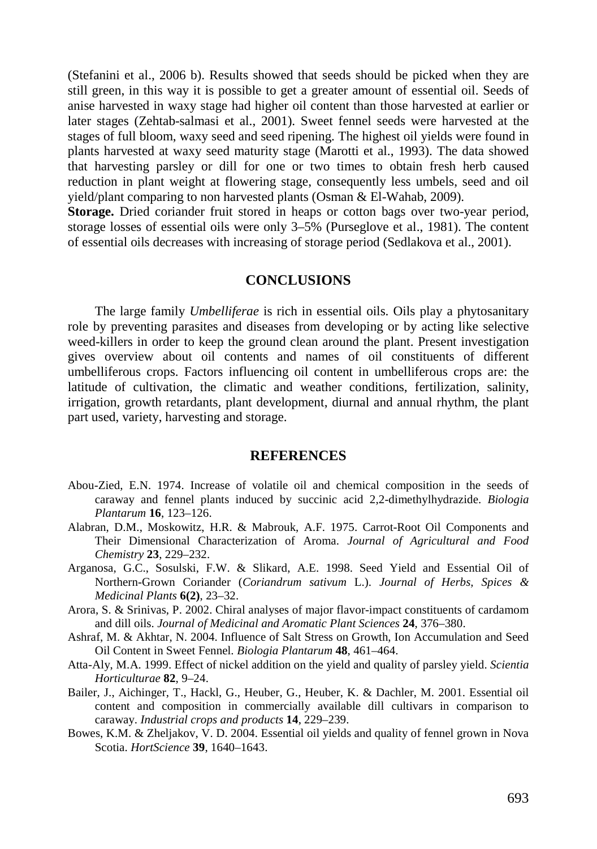(Stefanini et al., 2006 b). Results showed that seeds should be picked when they are still green, in this way it is possible to get a greater amount of essential oil. Seeds of anise harvested in waxy stage had higher oil content than those harvested at earlier or later stages (Zehtab-salmasi et al., 2001). Sweet fennel seeds were harvested at the stages of full bloom, waxy seed and seed ripening. The highest oil yields were found in plants harvested at waxy seed maturity stage (Marotti et al., 1993). The data showed that harvesting parsley or dill for one or two times to obtain fresh herb caused reduction in plant weight at flowering stage, consequently less umbels, seed and oil yield/plant comparing to non harvested plants (Osman & El-Wahab, 2009).

**Storage.** Dried coriander fruit stored in heaps or cotton bags over two-year period, storage losses of essential oils were only 3–5% (Purseglove et al., 1981). The content of essential oils decreases with increasing of storage period (Sedlakova et al., 2001).

### **CONCLUSIONS**

The large family *Umbelliferae* is rich in essential oils. Oils play a phytosanitary role by preventing parasites and diseases from developing or by acting like selective weed-killers in order to keep the ground clean around the plant. Present investigation gives overview about oil contents and names of oil constituents of different umbelliferous crops. Factors influencing oil content in umbelliferous crops are: the latitude of cultivation, the climatic and weather conditions, fertilization, salinity, irrigation, growth retardants, plant development, diurnal and annual rhythm, the plant part used, variety, harvesting and storage.

#### **REFERENCES**

- Abou-Zied, E.N. 1974. Increase of volatile oil and chemical composition in the seeds of caraway and fennel plants induced by succinic acid 2,2-dimethylhydrazide. *Biologia Plantarum* **16**, 123–126.
- Alabran, D.M., Moskowitz, H.R. & Mabrouk, A.F. 1975. Carrot-Root Oil Components and Their Dimensional Characterization of Aroma. *Journal of Agricultural and Food Chemistry* **23**, 229–232.
- Arganosa, G.C., Sosulski, F.W. & Slikard, A.E. 1998. Seed Yield and Essential Oil of Northern-Grown Coriander (*Coriandrum sativum* L.). *Journal of Herbs, Spices & Medicinal Plants* **6(2)**, 23–32.
- Arora, S. & Srinivas, P. 2002. Chiral analyses of major flavor-impact constituents of cardamom and dill oils. *Journal of Medicinal and Aromatic Plant Sciences* **24**, 376–380.
- Ashraf, M. & Akhtar, N. 2004. Influence of Salt Stress on Growth, Ion Accumulation and Seed Oil Content in Sweet Fennel. *Biologia Plantarum* **48**, 461–464.
- Atta-Aly, M.A. 1999. Effect of nickel addition on the yield and quality of parsley yield. *Scientia Horticulturae* **82**, 9–24.
- Bailer, J., Aichinger, T., Hackl, G., Heuber, G., Heuber, K. & Dachler, M. 2001. Essential oil content and composition in commercially available dill cultivars in comparison to caraway. *Industrial crops and products* **14**, 229–239.
- Bowes, K.M. & Zheljakov, V. D. 2004. Essential oil yields and quality of fennel grown in Nova Scotia. *HortScience* **39**, 1640–1643.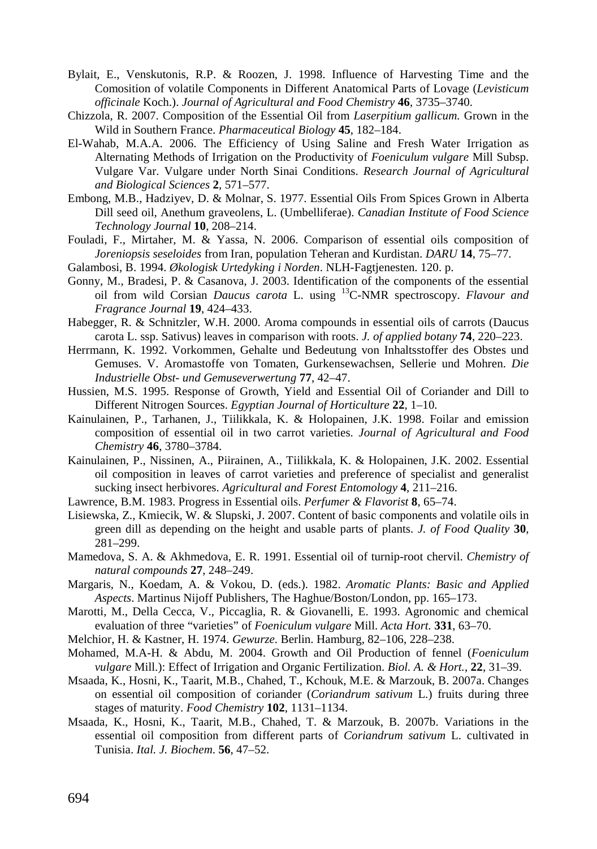- Bylait, E., Venskutonis, R.P. & Roozen, J. 1998. Influence of Harvesting Time and the Comosition of volatile Components in Different Anatomical Parts of Lovage (*Levisticum officinale* Koch.). *Journal of Agricultural and Food Chemistry* **46**, 3735–3740.
- Chizzola, R. 2007. Composition of the Essential Oil from *Laserpitium gallicum.* Grown in the Wild in Southern France. *Pharmaceutical Biology* **45**, 182–184.
- El-Wahab, M.A.A. 2006. The Efficiency of Using Saline and Fresh Water Irrigation as Alternating Methods of Irrigation on the Productivity of *Foeniculum vulgare* Mill Subsp. Vulgare Var. Vulgare under North Sinai Conditions. *Research Journal of Agricultural and Biological Sciences* **2**, 571–577.
- Embong, M.B., Hadziyev, D. & Molnar, S. 1977. Essential Oils From Spices Grown in Alberta Dill seed oil, Anethum graveolens, L. (Umbelliferae). *Canadian Institute of Food Science Technology Journal* **10**, 208–214.
- Fouladi, F., Mirtaher, M. & Yassa, N. 2006. Comparison of essential oils composition of *Joreniopsis seseloides* from Iran, population Teheran and Kurdistan. *DARU* **14**, 75–77.
- Galambosi, B. 1994. *Økologisk Urtedyking i Norden*. NLH-Fagtjenesten. 120. p.
- Gonny, M., Bradesi, P. & Casanova, J. 2003. Identification of the components of the essential oil from wild Corsian *Daucus carota* L. using <sup>13</sup>C-NMR spectroscopy. *Flavour and Fragrance Journal* **19**, 424–433.
- Habegger, R. & Schnitzler, W.H. 2000. Aroma compounds in essential oils of carrots (Daucus carota L. ssp. Sativus) leaves in comparison with roots. *J. of applied botany* **74**, 220–223.
- Herrmann, K. 1992. Vorkommen, Gehalte und Bedeutung von Inhaltsstoffer des Obstes und Gemuses. V. Aromastoffe von Tomaten, Gurkensewachsen, Sellerie und Mohren. *Die Industrielle Obst- und Gemuseverwertung* **77**, 42–47.
- Hussien, M.S. 1995. Response of Growth, Yield and Essential Oil of Coriander and Dill to Different Nitrogen Sources. *Egyptian Journal of Horticulture* **22**, 1–10.
- Kainulainen, P., Tarhanen, J., Tiilikkala, K. & Holopainen, J.K. 1998. Foilar and emission composition of essential oil in two carrot varieties. *Journal of Agricultural and Food Chemistry* **46**, 3780–3784.
- Kainulainen, P., Nissinen, A., Piirainen, A., Tiilikkala, K. & Holopainen, J.K. 2002. Essential oil composition in leaves of carrot varieties and preference of specialist and generalist sucking insect herbivores. *Agricultural and Forest Entomology* **4**, 211–216.
- Lawrence, B.M. 1983. Progress in Essential oils. *Perfumer & Flavorist* **8**, 65–74.
- Lisiewska, Z., Kmiecik, W. & Slupski, J. 2007. Content of basic components and volatile oils in green dill as depending on the height and usable parts of plants. *J. of Food Quality* **30**, 281–299.
- Mamedova, S. A. & Akhmedova, E. R. 1991. Essential oil of turnip-root chervil. *Chemistry of natural compounds* **27**, 248–249.
- Margaris, N., Koedam, A. & Vokou, D. (eds.). 1982. *Aromatic Plants: Basic and Applied Aspects*. Martinus Nijoff Publishers, The Haghue/Boston/London, pp. 165–173.
- Marotti, M., Della Cecca, V., Piccaglia, R. & Giovanelli, E. 1993. Agronomic and chemical evaluation of three "varieties" of *Foeniculum vulgare* Mill. *Acta Hort.* **331**, 63–70.
- Melchior, H. & Kastner, H. 1974. *Gewurze*. Berlin. Hamburg, 82–106, 228–238.
- Mohamed, M.A-H. & Abdu, M. 2004. Growth and Oil Production of fennel (*Foeniculum vulgare* Mill.): Effect of Irrigation and Organic Fertilization. *Biol. A. & Hort.*, **22**, 31–39.
- Msaada, K., Hosni, K., Taarit, M.B., Chahed, T., Kchouk, M.E. & Marzouk, B. 2007a. Changes on essential oil composition of coriander (*Coriandrum sativum* L.) fruits during three stages of maturity. *Food Chemistry* **102**, 1131–1134.
- Msaada, K., Hosni, K., Taarit, M.B., Chahed, T. & Marzouk, B. 2007b. Variations in the essential oil composition from different parts of *Coriandrum sativum* L. cultivated in Tunisia. *Ital. J. Biochem*. **56**, 47–52.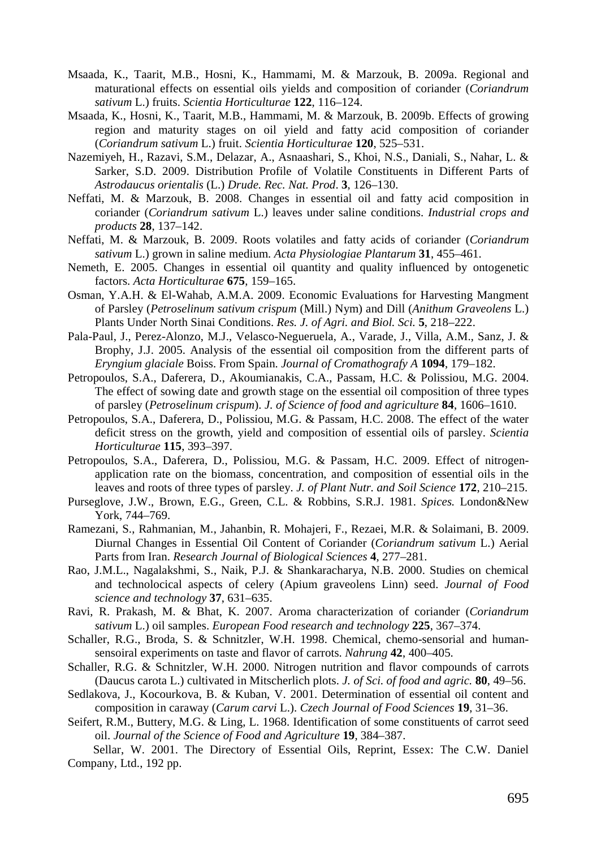- Msaada, K., Taarit, M.B., Hosni, K., Hammami, M. & Marzouk, B. 2009a. Regional and maturational effects on essential oils yields and composition of coriander (*Coriandrum sativum* L.) fruits. *Scientia Horticulturae* **122**, 116–124.
- Msaada, K., Hosni, K., Taarit, M.B., Hammami, M. & Marzouk, B. 2009b. Effects of growing region and maturity stages on oil yield and fatty acid composition of coriander (*Coriandrum sativum* L.) fruit. *Scientia Horticulturae* **120**, 525–531.
- Nazemiyeh, H., Razavi, S.M., Delazar, A., Asnaashari, S., Khoi, N.S., Daniali, S., Nahar, L. & Sarker, S.D. 2009. Distribution Profile of Volatile Constituents in Different Parts of *Astrodaucus orientalis* (L.) *Drude. Rec. Nat. Prod*. **3**, 126–130.
- Neffati, M. & Marzouk, B. 2008. Changes in essential oil and fatty acid composition in coriander (*Coriandrum sativum* L.) leaves under saline conditions. *Industrial crops and products* **28**, 137–142.
- Neffati, M. & Marzouk, B. 2009. Roots volatiles and fatty acids of coriander (*Coriandrum sativum* L.) grown in saline medium. *Acta Physiologiae Plantarum* **31**, 455–461.
- Nemeth, E. 2005. Changes in essential oil quantity and quality influenced by ontogenetic factors. *Acta Horticulturae* **675**, 159–165.
- Osman, Y.A.H. & El-Wahab, A.M.A. 2009. Economic Evaluations for Harvesting Mangment of Parsley (*Petroselinum sativum crispum* (Mill.) Nym) and Dill (*Anithum Graveolens* L.) Plants Under North Sinai Conditions. *Res. J. of Agri. and Biol. Sci.* **5**, 218–222.
- Pala-Paul, J., Perez-Alonzo, M.J., Velasco-Negueruela, A., Varade, J., Villa, A.M., Sanz, J. & Brophy, J.J. 2005. Analysis of the essential oil composition from the different parts of *Eryngium glaciale* Boiss. From Spain. *Journal of Cromathografy A* **1094**, 179–182.
- Petropoulos, S.A., Daferera, D., Akoumianakis, C.A., Passam, H.C. & Polissiou, M.G. 2004. The effect of sowing date and growth stage on the essential oil composition of three types of parsley (*Petroselinum crispum*). *J. of Science of food and agriculture* **84**, 1606–1610.
- Petropoulos, S.A., Daferera, D., Polissiou, M.G. & Passam, H.C. 2008. The effect of the water deficit stress on the growth, yield and composition of essential oils of parsley. *Scientia Horticulturae* **115**, 393–397.
- Petropoulos, S.A., Daferera, D., Polissiou, M.G. & Passam, H.C. 2009. Effect of nitrogenapplication rate on the biomass, concentration, and composition of essential oils in the leaves and roots of three types of parsley. *J. of Plant Nutr. and Soil Science* **172**, 210–215.
- Purseglove, J.W., Brown, E.G., Green, C.L. & Robbins, S.R.J. 1981. *Spices.* London&New York, 744–769.
- Ramezani, S., Rahmanian, M., Jahanbin, R. Mohajeri, F., Rezaei, M.R. & Solaimani, B. 2009. Diurnal Changes in Essential Oil Content of Coriander (*Coriandrum sativum* L.) Aerial Parts from Iran. *Research Journal of Biological Sciences* **4**, 277–281.
- Rao, J.M.L., Nagalakshmi, S., Naik, P.J. & Shankaracharya, N.B. 2000. Studies on chemical and technolocical aspects of celery (Apium graveolens Linn) seed. *Journal of Food science and technology* **37**, 631–635.
- Ravi, R. Prakash, M. & Bhat, K. 2007. Aroma characterization of coriander (*Coriandrum sativum* L.) oil samples. *European Food research and technology* **225**, 367–374.
- Schaller, R.G., Broda, S. & Schnitzler, W.H. 1998. Chemical, chemo-sensorial and humansensoiral experiments on taste and flavor of carrots. *Nahrung* **42**, 400–405.
- Schaller, R.G. & Schnitzler, W.H. 2000. Nitrogen nutrition and flavor compounds of carrots (Daucus carota L.) cultivated in Mitscherlich plots. *J. of Sci. of food and agric.* **80**, 49–56.
- Sedlakova, J., Kocourkova, B. & Kuban, V. 2001. Determination of essential oil content and composition in caraway (*Carum carvi* L.). *Czech Journal of Food Sciences* **19**, 31–36.
- Seifert, R.M., Buttery, M.G. & Ling, L. 1968. Identification of some constituents of carrot seed oil. *Journal of the Science of Food and Agriculture* **19**, 384–387.

Sellar, W. 2001. The Directory of Essential Oils, Reprint, Essex: The C.W. Daniel Company, Ltd., 192 pp.